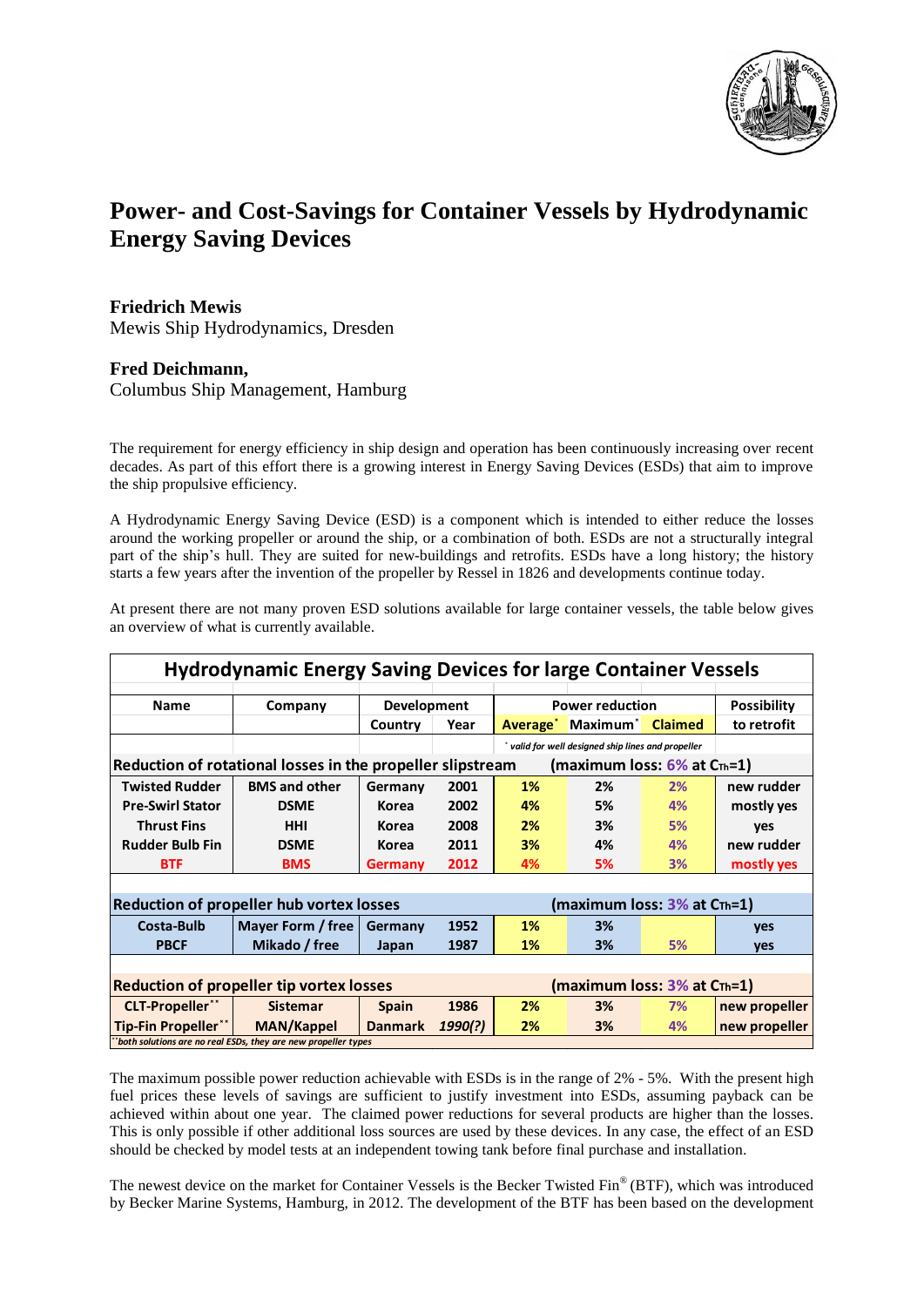

## **Power- and Cost-Savings for Container Vessels by Hydrodynamic Energy Saving Devices**

## **Friedrich Mewis** Mewis Ship Hydrodynamics, Dresden

## **Fred Deichmann,**

Columbus Ship Management, Hamburg

The requirement for energy efficiency in ship design and operation has been continuously increasing over recent decades. As part of this effort there is a growing interest in Energy Saving Devices (ESDs) that aim to improve the ship propulsive efficiency.

A Hydrodynamic Energy Saving Device (ESD) is a component which is intended to either reduce the losses around the working propeller or around the ship, or a combination of both. ESDs are not a structurally integral part of the ship's hull. They are suited for new-buildings and retrofits. ESDs have a long history; the history starts a few years after the invention of the propeller by Ressel in 1826 and developments continue today.

At present there are not many proven ESD solutions available for large container vessels, the table below gives an overview of what is currently available.

| <b>Hydrodynamic Energy Saving Devices for large Container Vessels</b>                                                                                                                                                                                                                                                                                                                                                                                                                                                                                                                                                                                                                        |                      |                |         |                        |                                                    |    |                    |
|----------------------------------------------------------------------------------------------------------------------------------------------------------------------------------------------------------------------------------------------------------------------------------------------------------------------------------------------------------------------------------------------------------------------------------------------------------------------------------------------------------------------------------------------------------------------------------------------------------------------------------------------------------------------------------------------|----------------------|----------------|---------|------------------------|----------------------------------------------------|----|--------------------|
| <b>Name</b>                                                                                                                                                                                                                                                                                                                                                                                                                                                                                                                                                                                                                                                                                  | Company              | Development    |         | <b>Power reduction</b> |                                                    |    | <b>Possibility</b> |
|                                                                                                                                                                                                                                                                                                                                                                                                                                                                                                                                                                                                                                                                                              |                      | Country        | Year    |                        | Average <sup>*</sup> Maximum <sup>*</sup> Claimed  |    | to retrofit        |
|                                                                                                                                                                                                                                                                                                                                                                                                                                                                                                                                                                                                                                                                                              |                      |                |         |                        | * valid for well designed ship lines and propeller |    |                    |
| Reduction of rotational losses in the propeller slipstream<br>(maximum loss: $6\%$ at $C_{\text{Th}}=1$ )                                                                                                                                                                                                                                                                                                                                                                                                                                                                                                                                                                                    |                      |                |         |                        |                                                    |    |                    |
| <b>Twisted Rudder</b>                                                                                                                                                                                                                                                                                                                                                                                                                                                                                                                                                                                                                                                                        | <b>BMS and other</b> | Germany        | 2001    | 1%                     | 2%                                                 | 2% | new rudder         |
| <b>Pre-Swirl Stator</b>                                                                                                                                                                                                                                                                                                                                                                                                                                                                                                                                                                                                                                                                      | <b>DSME</b>          | <b>Korea</b>   | 2002    | 4%                     | 5%                                                 | 4% | mostly yes         |
| <b>Thrust Fins</b>                                                                                                                                                                                                                                                                                                                                                                                                                                                                                                                                                                                                                                                                           | <b>HHI</b>           | <b>Korea</b>   | 2008    | 2%                     | 3%                                                 | 5% | yes                |
| <b>Rudder Bulb Fin</b>                                                                                                                                                                                                                                                                                                                                                                                                                                                                                                                                                                                                                                                                       | <b>DSME</b>          | <b>Korea</b>   | 2011    | 3%                     | 4%                                                 | 4% | new rudder         |
| <b>BTF</b>                                                                                                                                                                                                                                                                                                                                                                                                                                                                                                                                                                                                                                                                                   | <b>BMS</b>           | Germany        | 2012    | 4%                     | 5%                                                 | 3% | mostly yes         |
|                                                                                                                                                                                                                                                                                                                                                                                                                                                                                                                                                                                                                                                                                              |                      |                |         |                        |                                                    |    |                    |
| <b>Reduction of propeller hub vortex losses</b><br>(maximum loss: 3% at CTh=1)                                                                                                                                                                                                                                                                                                                                                                                                                                                                                                                                                                                                               |                      |                |         |                        |                                                    |    |                    |
| <b>Costa-Bulb</b>                                                                                                                                                                                                                                                                                                                                                                                                                                                                                                                                                                                                                                                                            | Mayer Form / free    | Germany        | 1952    | 1%                     | 3%                                                 |    | yes                |
| <b>PBCF</b>                                                                                                                                                                                                                                                                                                                                                                                                                                                                                                                                                                                                                                                                                  | Mikado / free        | Japan          | 1987    | 1%                     | 3%                                                 | 5% | yes                |
|                                                                                                                                                                                                                                                                                                                                                                                                                                                                                                                                                                                                                                                                                              |                      |                |         |                        |                                                    |    |                    |
| (maximum loss: 3% at CTh=1)<br><b>Reduction of propeller tip vortex losses</b>                                                                                                                                                                                                                                                                                                                                                                                                                                                                                                                                                                                                               |                      |                |         |                        |                                                    |    |                    |
| <b>CLT-Propeller**</b>                                                                                                                                                                                                                                                                                                                                                                                                                                                                                                                                                                                                                                                                       | <b>Sistemar</b>      | <b>Spain</b>   | 1986    | 2%                     | 3%                                                 | 7% | new propeller      |
| <b>Tip-Fin Propeller**</b>                                                                                                                                                                                                                                                                                                                                                                                                                                                                                                                                                                                                                                                                   | <b>MAN/Kappel</b>    | <b>Danmark</b> | 1990(?) | 2%                     | 3%                                                 | 4% | new propeller      |
| "both solutions are no real ESDs, they are new propeller types                                                                                                                                                                                                                                                                                                                                                                                                                                                                                                                                                                                                                               |                      |                |         |                        |                                                    |    |                    |
| The maximum possible power reduction achievable with ESDs is in the range of 2% - 5%. With the present high<br>fuel prices these levels of savings are sufficient to justify investment into ESDs, assuming payback can be<br>achieved within about one year. The claimed power reductions for several products are higher than the losses.<br>This is only possible if other additional loss sources are used by these devices. In any case, the effect of an ESD<br>should be checked by model tests at an independent towing tank before final purchase and installation.<br>The newest device on the market for Container Vessels is the Becker Twisted Fin® (BTF), which was introduced |                      |                |         |                        |                                                    |    |                    |
| by Becker Marine Systems, Hamburg, in 2012. The development of the BTF has been based on the development                                                                                                                                                                                                                                                                                                                                                                                                                                                                                                                                                                                     |                      |                |         |                        |                                                    |    |                    |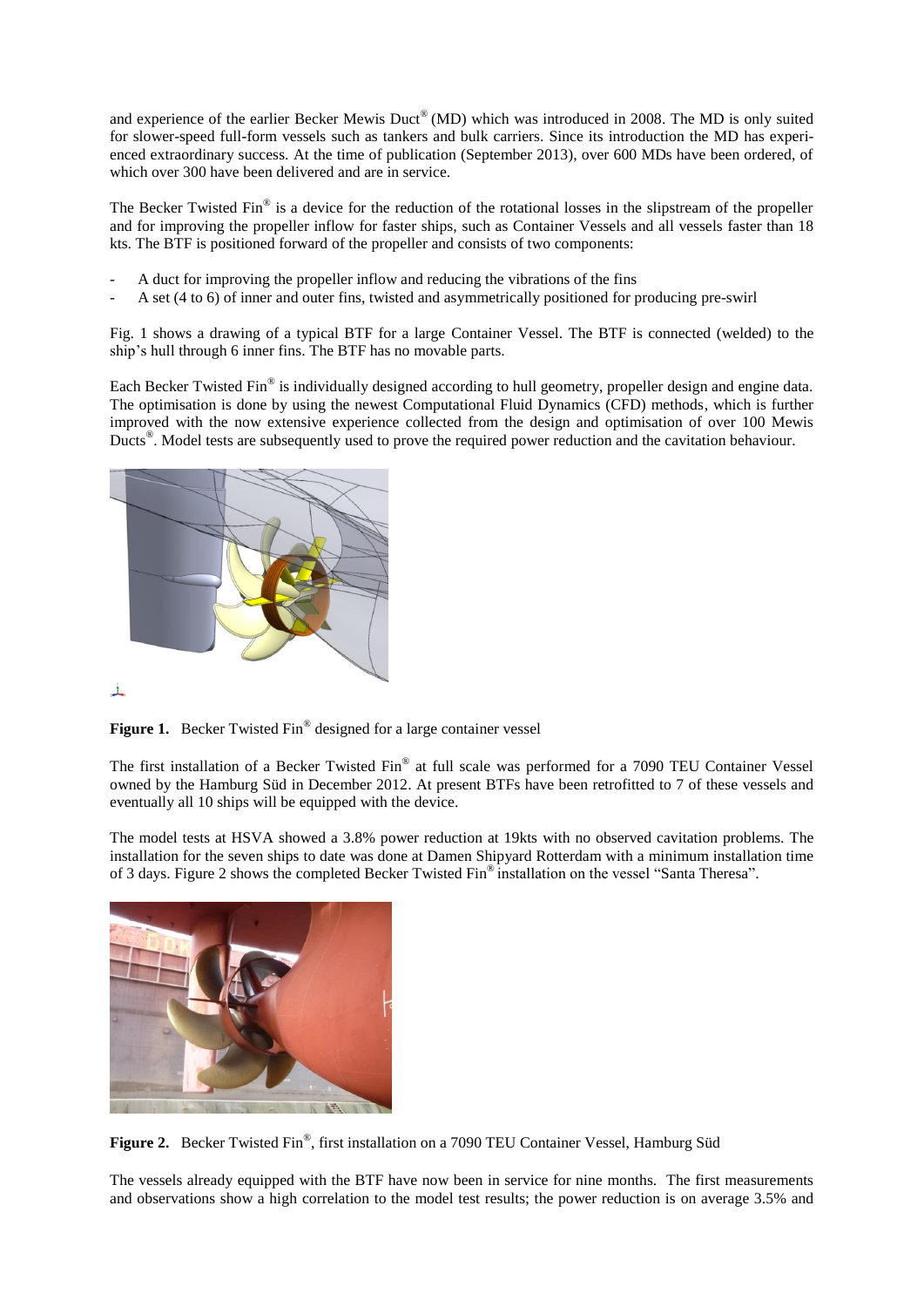and experience of the earlier Becker Mewis Duct<sup>®</sup> (MD) which was introduced in 2008. The MD is only suited for slower-speed full-form vessels such as tankers and bulk carriers. Since its introduction the MD has experienced extraordinary success. At the time of publication (September 2013), over 600 MDs have been ordered, of which over 300 have been delivered and are in service.

The Becker Twisted  $\text{Fin}^{\otimes}$  is a device for the reduction of the rotational losses in the slipstream of the propeller and for improving the propeller inflow for faster ships, such as Container Vessels and all vessels faster than 18 kts. The BTF is positioned forward of the propeller and consists of two components:

- A duct for improving the propeller inflow and reducing the vibrations of the fins
- A set (4 to 6) of inner and outer fins, twisted and asymmetrically positioned for producing pre-swirl

Fig. 1 shows a drawing of a typical BTF for a large Container Vessel. The BTF is connected (welded) to the ship's hull through 6 inner fins. The BTF has no movable parts.

Each Becker Twisted Fin® is individually designed according to hull geometry, propeller design and engine data. The optimisation is done by using the newest Computational Fluid Dynamics (CFD) methods, which is further improved with the now extensive experience collected from the design and optimisation of over 100 Mewis Ducts® . Model tests are subsequently used to prove the required power reduction and the cavitation behaviour.



 $\perp$ 



The first installation of a Becker Twisted Fin® at full scale was performed for a 7090 TEU Container Vessel owned by the Hamburg Süd in December 2012. At present BTFs have been retrofitted to 7 of these vessels and eventually all 10 ships will be equipped with the device.

The model tests at HSVA showed a 3.8% power reduction at 19kts with no observed cavitation problems. The installation for the seven ships to date was done at Damen Shipyard Rotterdam with a minimum installation time of 3 days. Figure 2 shows the completed Becker Twisted Fin® installation on the vessel "Santa Theresa".



Figure 2. Becker Twisted Fin®, first installation on a 7090 TEU Container Vessel, Hamburg Süd

The vessels already equipped with the BTF have now been in service for nine months. The first measurements and observations show a high correlation to the model test results; the power reduction is on average 3.5% and